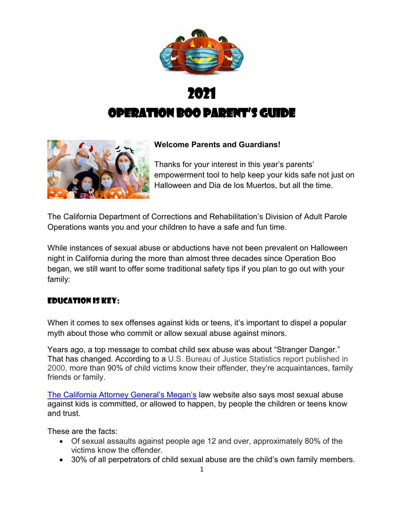



### **Welcome Parents and Guardians!**

Thanks for your interest in this year's parents' empowerment tool to help keep your kids safe not just on Halloween and Dia de los Muertos, but all the time.

The California Department of Corrections and Rehabilitation's Division of Adult Parole Operations wants you and your children to have a safe and fun time.

While instances of sexual abuse or abductions have not been prevalent on Halloween night in California during the more than almost three decades since Operation Boo began, we still want to offer some traditional safety tips if you plan to go out with your family:

### Education is key:

When it comes to sex offenses against kids or teens, it's important to dispel a popular myth about those who commit or allow sexual abuse against minors.

Years ago, a top message to combat child sex abuse was about "Stranger Danger." That has changed. According to a U.S. Bureau of Justice Statistics report published in 2000, more than 90% of child victims know their offender, they're acquaintances, family friends or family.

[The California Attorney General's Megan's](https://www.meganslaw.ca.gov/Education.aspx) law website also says most sexual abuse against kids is committed, or allowed to happen, by people the children or teens know and trust.

These are the facts:

- · Of sexual assaults against people age 12 and over, approximately 80% of the victims know the offender.
- · 30% of all perpetrators of child sexual abuse are the child's own family members.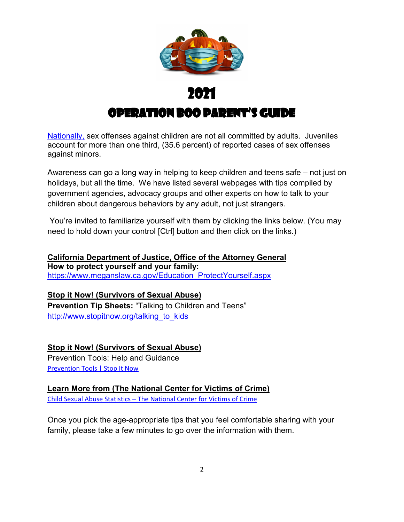

[Nationally,](https://www.ncjrs.gov/pdffiles1/ojjdp/227763.pdf) sex offenses against children are not all committed by adults. Juveniles account for more than one third, (35.6 percent) of reported cases of sex offenses against minors.

Awareness can go a long way in helping to keep children and teens safe – not just on holidays, but all the time. We have listed several webpages with tips compiled by government agencies, advocacy groups and other experts on how to talk to your children about dangerous behaviors by any adult, not just strangers.

You're invited to familiarize yourself with them by clicking the links below. (You may need to hold down your control [Ctrl] button and then click on the links.)

**California Department of Justice, Office of the Attorney General How to protect yourself and your family:** [https://www.meganslaw.ca.gov/Education\\_ProtectYourself.aspx](https://www.meganslaw.ca.gov/Education_ProtectYourself.aspx)

**Stop it Now! (Survivors of Sexual Abuse) Prevention Tip Sheets:** "Talking to Children and Teens" [http://www.stopitnow.org/talking\\_to\\_kids](http://www.stopitnow.org/talking_to_kids)

### **Stop it Now! (Survivors of Sexual Abuse)**

Prevention Tools: Help and Guidance [Prevention Tools | Stop It Now](https://www.stopitnow.org/help-guidance/prevention-tools)

### **Learn More from (The National Center for Victims of Crime)**

Child Sexual Abuse Statistics – [The National Center for Victims of Crime](https://victimsofcrime.org/child-sexual-abuse-statistics/?sfw=pass1635494428)

Once you pick the age-appropriate tips that you feel comfortable sharing with your family, please take a few minutes to go over the information with them.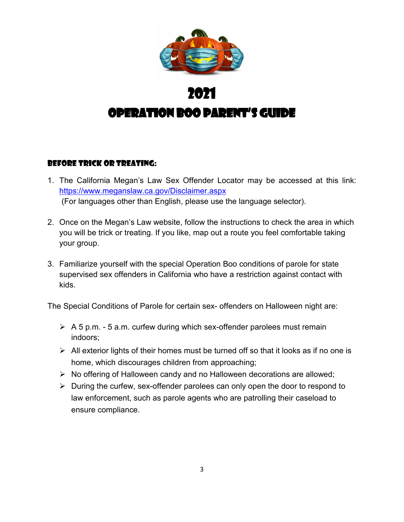

### Before Trick or treating:

- 1. The California Megan's Law Sex Offender Locator may be accessed at this link: <https://www.meganslaw.ca.gov/Disclaimer.aspx> (For languages other than English, please use the language selector).
- 2. Once on the Megan's Law website, follow the instructions to check the area in which you will be trick or treating. If you like, map out a route you feel comfortable taking your group.
- 3. Familiarize yourself with the special Operation Boo conditions of parole for state supervised sex offenders in California who have a restriction against contact with kids.

The Special Conditions of Parole for certain sex- offenders on Halloween night are:

- $\triangleright$  A 5 p.m. 5 a.m. curfew during which sex-offender parolees must remain indoors;
- $\triangleright$  All exterior lights of their homes must be turned off so that it looks as if no one is home, which discourages children from approaching;
- $\triangleright$  No offering of Halloween candy and no Halloween decorations are allowed;
- $\triangleright$  During the curfew, sex-offender parolees can only open the door to respond to law enforcement, such as parole agents who are patrolling their caseload to ensure compliance.